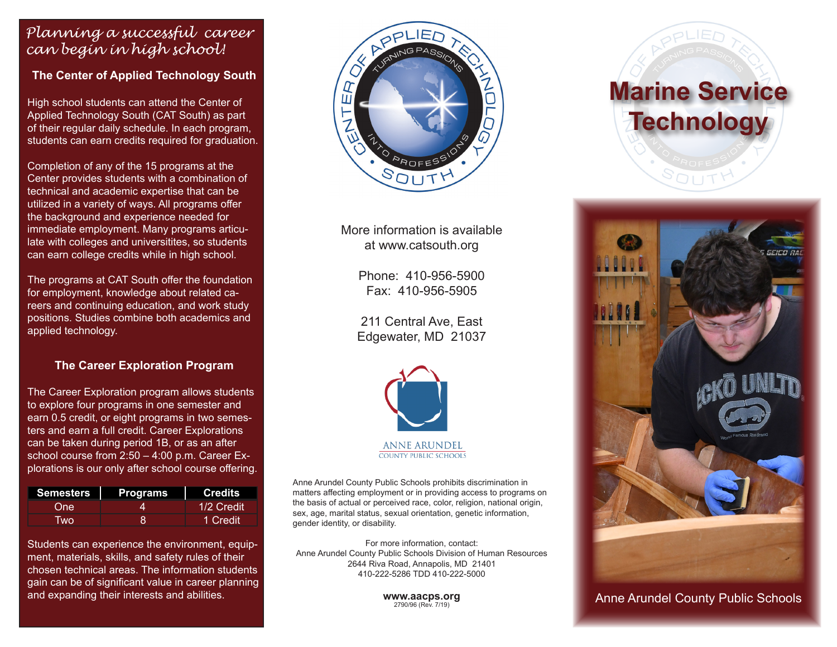### *Planning a successful career can begin in high school!*

**The Center of Applied Technology South**

High school students can attend the Center of Applied Technology South (CAT South) as part of their regular daily schedule. In each program, students can earn credits required for graduation.

Completion of any of the 15 programs at the Center provides students with a combination of technical and academic expertise that can be utilized in a variety of ways. All programs offer the background and experience needed for immediate employment. Many programs articulate with colleges and universitites, so students can earn college credits while in high school.

The programs at CAT South offer the foundation for employment, knowledge about related careers and continuing education, and work study positions. Studies combine both academics and applied technology.

#### **The Career Exploration Program**

The Career Exploration program allows students to explore four programs in one semester and earn 0.5 credit, or eight programs in two semesters and earn a full credit. Career Explorations can be taken during period 1B, or as an after school course from 2:50 – 4:00 p.m. Career Explorations is our only after school course offering.

| <b>Semesters</b> | Programs | <b>Credits</b> |
|------------------|----------|----------------|
| One              |          | 1/2 Credit     |
| <b>Two</b>       |          | 1 Credit       |

Students can experience the environment, equipment, materials, skills, and safety rules of their chosen technical areas. The information students gain can be of significant value in career planning and expanding their interests and abilities.



More information is available at www.catsouth.org

> Phone: 410-956-5900 Fax: 410-956-5905

211 Central Ave, East Edgewater, MD 21037



**ANNE ARUNDEL COUNTY PUBLIC SCHOOLS** 

Anne Arundel County Public Schools prohibits discrimination in matters affecting employment or in providing access to programs on the basis of actual or perceived race, color, religion, national origin, sex, age, marital status, sexual orientation, genetic information, gender identity, or disability.

For more information, contact: Anne Arundel County Public Schools Division of Human Resources 2644 Riva Road, Annapolis, MD 21401 410-222-5286 TDD 410-222-5000

> **www.aacps.org** 2790/96 (Rev. 7/19)





Anne Arundel County Public Schools